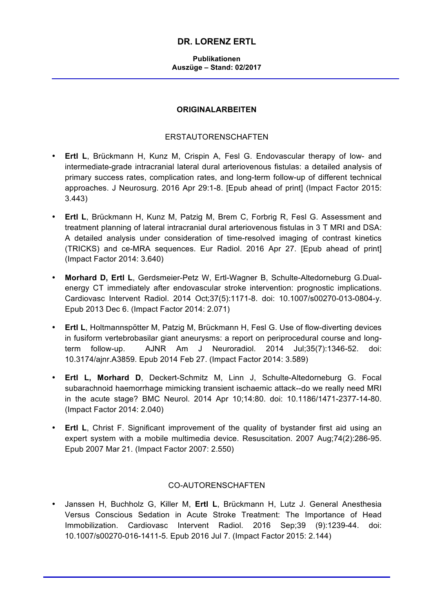# **DR. LORENZ ERTL**

#### **Publikationen Auszüge – Stand: 02/2017**

### **ORIGINALARBEITEN**

### ERSTAUTORENSCHAFTEN

- **Ertl L**, Brückmann H, Kunz M, Crispin A, Fesl G. Endovascular therapy of low- and intermediate-grade intracranial lateral dural arteriovenous fistulas: a detailed analysis of primary success rates, complication rates, and long-term follow-up of different technical approaches. J Neurosurg. 2016 Apr 29:1-8. [Epub ahead of print] (Impact Factor 2015: 3.443)
- **Ertl L**, Brückmann H, Kunz M, Patzig M, Brem C, Forbrig R, Fesl G. Assessment and treatment planning of lateral intracranial dural arteriovenous fistulas in 3 T MRI and DSA: A detailed analysis under consideration of time-resolved imaging of contrast kinetics (TRICKS) and ce-MRA sequences. Eur Radiol. 2016 Apr 27. [Epub ahead of print] (Impact Factor 2014: 3.640)
- **Morhard D, Ertl L**, Gerdsmeier-Petz W, Ertl-Wagner B, Schulte-Altedorneburg G.Dualenergy CT immediately after endovascular stroke intervention: prognostic implications. Cardiovasc Intervent Radiol. 2014 Oct;37(5):1171-8. doi: 10.1007/s00270-013-0804-y. Epub 2013 Dec 6. (Impact Factor 2014: 2.071)
- **Ertl L**, Holtmannspötter M, Patzig M, Brückmann H, Fesl G. Use of flow-diverting devices in fusiform vertebrobasilar giant aneurysms: a report on periprocedural course and longterm follow-up. AJNR Am J Neuroradiol. 2014 Jul;35(7):1346-52. doi: 10.3174/ajnr.A3859. Epub 2014 Feb 27. (Impact Factor 2014: 3.589)
- **Ertl L, Morhard D**, Deckert-Schmitz M, Linn J, Schulte-Altedorneburg G. Focal subarachnoid haemorrhage mimicking transient ischaemic attack--do we really need MRI in the acute stage? BMC Neurol. 2014 Apr 10;14:80. doi: 10.1186/1471-2377-14-80. (Impact Factor 2014: 2.040)
- **Ertl L**, Christ F. Significant improvement of the quality of bystander first aid using an expert system with a mobile multimedia device. Resuscitation. 2007 Aug;74(2):286-95. Epub 2007 Mar 21. (Impact Factor 2007: 2.550)

#### CO-AUTORENSCHAFTEN

• Janssen H, Buchholz G, Killer M, **Ertl L**, Brückmann H, Lutz J. General Anesthesia Versus Conscious Sedation in Acute Stroke Treatment: The Importance of Head Immobilization. Cardiovasc Intervent Radiol. 2016 Sep;39 (9):1239-44. doi: 10.1007/s00270-016-1411-5. Epub 2016 Jul 7. (Impact Factor 2015: 2.144)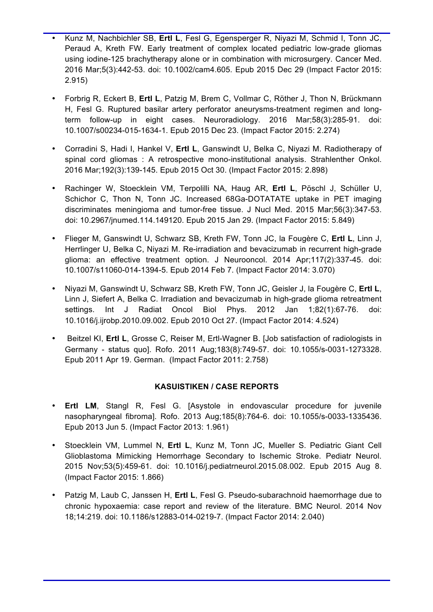- Kunz M, Nachbichler SB, **Ertl L**, Fesl G, Egensperger R, Niyazi M, Schmid I, Tonn JC, Peraud A, Kreth FW. Early treatment of complex located pediatric low-grade gliomas using iodine-125 brachytherapy alone or in combination with microsurgery. Cancer Med. 2016 Mar;5(3):442-53. doi: 10.1002/cam4.605. Epub 2015 Dec 29 (Impact Factor 2015: 2.915)
- Forbrig R, Eckert B, **Ertl L**, Patzig M, Brem C, Vollmar C, Röther J, Thon N, Brückmann H, Fesl G. Ruptured basilar artery perforator aneurysms-treatment regimen and longterm follow-up in eight cases. Neuroradiology. 2016 Mar;58(3):285-91. doi: 10.1007/s00234-015-1634-1. Epub 2015 Dec 23. (Impact Factor 2015: 2.274)
- Corradini S, Hadi I, Hankel V, **Ertl L**, Ganswindt U, Belka C, Niyazi M. Radiotherapy of spinal cord gliomas : A retrospective mono-institutional analysis. Strahlenther Onkol. 2016 Mar;192(3):139-145. Epub 2015 Oct 30. (Impact Factor 2015: 2.898)
- Rachinger W, Stoecklein VM, Terpolilli NA, Haug AR, **Ertl L**, Pöschl J, Schüller U, Schichor C, Thon N, Tonn JC. Increased 68Ga-DOTATATE uptake in PET imaging discriminates meningioma and tumor-free tissue. J Nucl Med. 2015 Mar;56(3):347-53. doi: 10.2967/jnumed.114.149120. Epub 2015 Jan 29. (Impact Factor 2015: 5.849)
- Flieger M, Ganswindt U, Schwarz SB, Kreth FW, Tonn JC, la Fougère C, **Ertl L**, Linn J, Herrlinger U, Belka C, Niyazi M. Re-irradiation and bevacizumab in recurrent high-grade glioma: an effective treatment option. J Neurooncol. 2014 Apr;117(2):337-45. doi: 10.1007/s11060-014-1394-5. Epub 2014 Feb 7. (Impact Factor 2014: 3.070)
- Niyazi M, Ganswindt U, Schwarz SB, Kreth FW, Tonn JC, Geisler J, la Fougère C, **Ertl L**, Linn J, Siefert A, Belka C. Irradiation and bevacizumab in high-grade glioma retreatment settings. Int J Radiat Oncol Biol Phys. 2012 Jan 1;82(1):67-76. doi: 10.1016/j.ijrobp.2010.09.002. Epub 2010 Oct 27. (Impact Factor 2014: 4.524)
- Beitzel KI, **Ertl L**, Grosse C, Reiser M, Ertl-Wagner B. [Job satisfaction of radiologists in Germany - status quo]. Rofo. 2011 Aug;183(8):749-57. doi: 10.1055/s-0031-1273328. Epub 2011 Apr 19. German. (Impact Factor 2011: 2.758)

## **KASUISTIKEN / CASE REPORTS**

- **Ertl LM, Stangl R, Fesl G. [Asystole in endovascular procedure for juvenile** nasopharyngeal fibroma]. Rofo. 2013 Aug;185(8):764-6. doi: 10.1055/s-0033-1335436. Epub 2013 Jun 5. (Impact Factor 2013: 1.961)
- Stoecklein VM, Lummel N, **Ertl L**, Kunz M, Tonn JC, Mueller S. Pediatric Giant Cell Glioblastoma Mimicking Hemorrhage Secondary to Ischemic Stroke. Pediatr Neurol. 2015 Nov;53(5):459-61. doi: 10.1016/j.pediatrneurol.2015.08.002. Epub 2015 Aug 8. (Impact Factor 2015: 1.866)
- Patzig M, Laub C, Janssen H, **Ertl L**, Fesl G. Pseudo-subarachnoid haemorrhage due to chronic hypoxaemia: case report and review of the literature. BMC Neurol. 2014 Nov 18;14:219. doi: 10.1186/s12883-014-0219-7. (Impact Factor 2014: 2.040)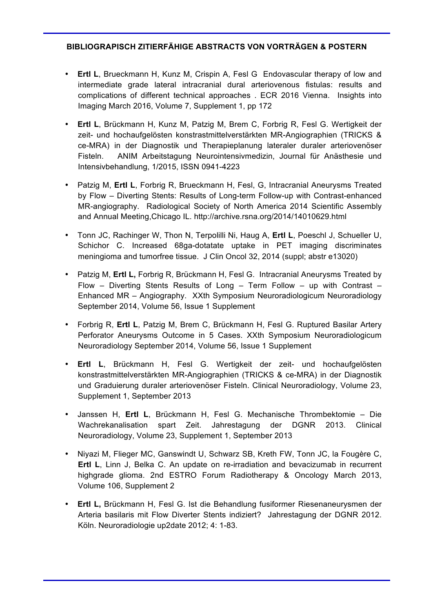# **BIBLIOGRAPISCH ZITIERFÄHIGE ABSTRACTS VON VORTRÄGEN & POSTERN**

- **Ertl L**, Brueckmann H, Kunz M, Crispin A, Fesl G Endovascular therapy of low and intermediate grade lateral intracranial dural arteriovenous fistulas: results and complications of different technical approaches . ECR 2016 Vienna. Insights into Imaging March 2016, Volume 7, Supplement 1, pp 172
- **Ertl L**, Brückmann H, Kunz M, Patzig M, Brem C, Forbrig R, Fesl G. Wertigkeit der zeit- und hochaufgelösten konstrastmittelverstärkten MR-Angiographien (TRICKS & ce-MRA) in der Diagnostik und Therapieplanung lateraler duraler arteriovenöser Fisteln. ANIM Arbeitstagung Neurointensivmedizin, Journal für Anästhesie und Intensivbehandlung, 1/2015, ISSN 0941-4223
- Patzig M, **Ertl L**, Forbrig R, Brueckmann H, Fesl, G, Intracranial Aneurysms Treated by Flow – Diverting Stents: Results of Long-term Follow-up with Contrast-enhanced MR-angiography. Radiological Society of North America 2014 Scientific Assembly and Annual Meeting,Chicago IL. http://archive.rsna.org/2014/14010629.html
- Tonn JC, Rachinger W, Thon N, Terpolilli Ni, Haug A, **Ertl L**, Poeschl J, Schueller U, Schichor C. Increased 68ga-dotatate uptake in PET imaging discriminates meningioma and tumorfree tissue. J Clin Oncol 32, 2014 (suppl; abstr e13020)
- Patzig M, **Ertl L,** Forbrig R, Brückmann H, Fesl G. Intracranial Aneurysms Treated by Flow – Diverting Stents Results of Long – Term Follow – up with Contrast – Enhanced MR – Angiography. XXth Symposium Neuroradiologicum Neuroradiology September 2014, Volume 56, Issue 1 Supplement
- Forbrig R, **Ertl L**, Patzig M, Brem C, Brückmann H, Fesl G. Ruptured Basilar Artery Perforator Aneurysms Outcome in 5 Cases. XXth Symposium Neuroradiologicum Neuroradiology September 2014, Volume 56, Issue 1 Supplement
- **Ertl L**, Brückmann H, Fesl G. Wertigkeit der zeit- und hochaufgelösten konstrastmittelverstärkten MR-Angiographien (TRICKS & ce-MRA) in der Diagnostik und Graduierung duraler arteriovenöser Fisteln. Clinical Neuroradiology, Volume 23, Supplement 1, September 2013
- Janssen H, **Ertl L**, Brückmann H, Fesl G. Mechanische Thrombektomie Die Wachrekanalisation spart Zeit. Jahrestagung der DGNR 2013. Clinical Neuroradiology, Volume 23, Supplement 1, September 2013
- Niyazi M, Flieger MC, Ganswindt U, Schwarz SB, Kreth FW, Tonn JC, la Fougère C, **Ertl L**, Linn J, Belka C. An update on re-irradiation and bevacizumab in recurrent highgrade glioma. 2nd ESTRO Forum Radiotherapy & Oncology March 2013, Volume 106, Supplement 2
- **Ertl L,** Brückmann H, Fesl G. Ist die Behandlung fusiformer Riesenaneurysmen der Arteria basilaris mit Flow Diverter Stents indiziert? Jahrestagung der DGNR 2012. Köln. Neuroradiologie up2date 2012; 4: 1-83.